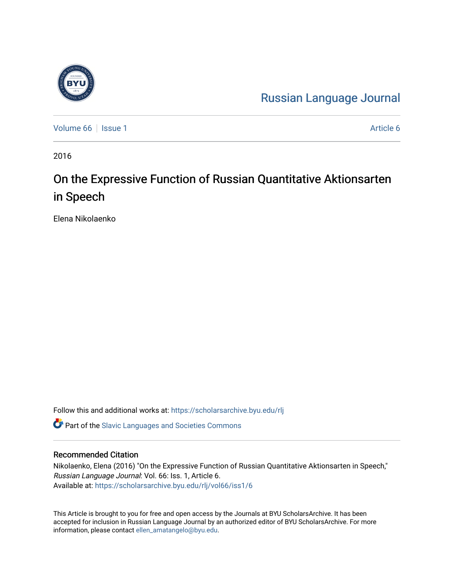# [Russian Language Journal](https://scholarsarchive.byu.edu/rlj)

[Volume 66](https://scholarsarchive.byu.edu/rlj/vol66) | [Issue 1](https://scholarsarchive.byu.edu/rlj/vol66/iss1) [Article 6](https://scholarsarchive.byu.edu/rlj/vol66/iss1/6) | Issue 1 Article 6 | Issue 1 Article 6 | Issue 1 Article 6 | Issue 1 Article 6 | Issue 1 Article 6 | Issue 1 Article 6 | Issue 1 Article 6 | Issue 1 Article 6 | Issue 1 Article 6 | Issue 1 Ar

2016

# On the Expressive Function of Russian Quantitative Aktionsarten in Speech

Elena Nikolaenko

Follow this and additional works at: [https://scholarsarchive.byu.edu/rlj](https://scholarsarchive.byu.edu/rlj?utm_source=scholarsarchive.byu.edu%2Frlj%2Fvol66%2Fiss1%2F6&utm_medium=PDF&utm_campaign=PDFCoverPages)

**C** Part of the Slavic Languages and Societies Commons

#### Recommended Citation

Nikolaenko, Elena (2016) "On the Expressive Function of Russian Quantitative Aktionsarten in Speech," Russian Language Journal: Vol. 66: Iss. 1, Article 6. Available at: [https://scholarsarchive.byu.edu/rlj/vol66/iss1/6](https://scholarsarchive.byu.edu/rlj/vol66/iss1/6?utm_source=scholarsarchive.byu.edu%2Frlj%2Fvol66%2Fiss1%2F6&utm_medium=PDF&utm_campaign=PDFCoverPages) 

This Article is brought to you for free and open access by the Journals at BYU ScholarsArchive. It has been accepted for inclusion in Russian Language Journal by an authorized editor of BYU ScholarsArchive. For more information, please contact [ellen\\_amatangelo@byu.edu.](mailto:ellen_amatangelo@byu.edu)

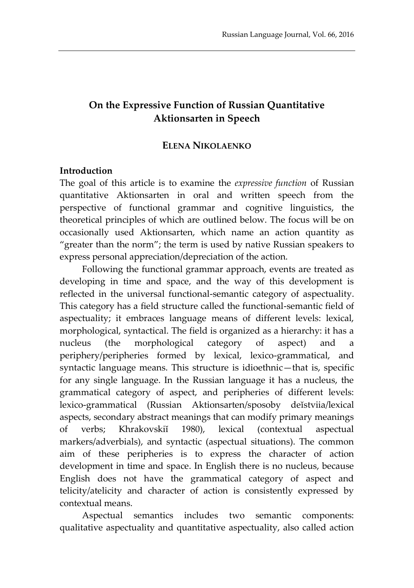# **On the Expressive Function of Russian Quantitative Aktionsarten in Speech**

### **ELENA NIKOLAENKO**

#### **Introduction**

The goal of this article is to examine the *expressive function* of Russian quantitative Aktionsarten in oral and written speech from the perspective of functional grammar and cognitive linguistics, the theoretical principles of which are outlined below. The focus will be on occasionally used Aktionsarten, which name an action quantity as "greater than the norm"; the term is used by native Russian speakers to express personal appreciation/depreciation of the action.

Following the functional grammar approach, events are treated as developing in time and space, and the way of this development is reflected in the universal functional-semantic category of aspectuality. This category has a field structure called the functional-semantic field of aspectuality; it embraces language means of different levels: lexical, morphological, syntactical. The field is organized as a hierarchy: it has a nucleus (the morphological category of aspect) and a periphery/peripheries formed by lexical, lexico-grammatical, and syntactic language means. This structure is idioethnic—that is, specific for any single language. In the Russian language it has a nucleus, the grammatical category of aspect, and peripheries of different levels: lexico-grammatical (Russian Aktionsarten/sposoby deĭstviia/lexical aspects, secondary abstract meanings that can modify primary meanings of verbs; Khrakovskiĭ 1980), lexical (contextual aspectual markers/adverbials), and syntactic (aspectual situations). The common aim of these peripheries is to express the character of action development in time and space. In English there is no nucleus, because English does not have the grammatical category of aspect and telicity/atelicity and character of action is consistently expressed by contextual means.

Aspectual semantics includes two semantic components: qualitative aspectuality and quantitative aspectuality, also called action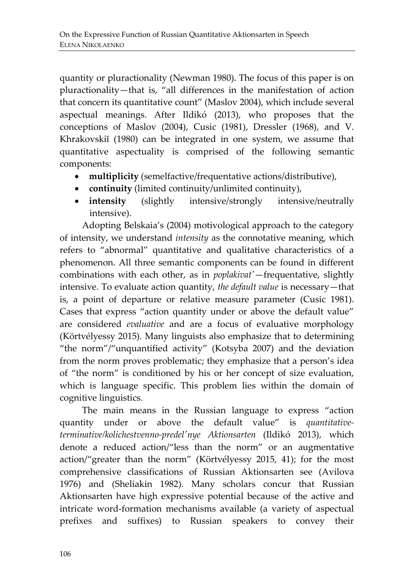quantity or pluractionality (Newman 1980). The focus of this paper is on pluractionality—that is, "all differences in the manifestation of action that concern its quantitative count" (Maslov 2004), which include several aspectual meanings. After Ildikó (2013), who proposes that the conceptions of Maslov (2004), Cusic (1981), Dressler (1968), and V. Khrakovskiĭ (1980) can be integrated in one system, we assume that quantitative aspectuality is comprised of the following semantic components:

- **multiplicity** (semelfactive/frequentative actions/distributive),
- **continuity** (limited continuity/unlimited continuity),
- **intensity** (slightly intensive/strongly intensive/neutrally intensive).

Adopting Belskaia's (2004) motivological approach to the category of intensity, we understand *intensity* as the connotative meaning, which refers to "abnormal" quantitative and qualitative characteristics of a phenomenon. All three semantic components can be found in different combinations with each other, as in *poplakivat'*—frequentative, slightly intensive. To evaluate action quantity, *the default value* is necessary—that is, a point of departure or relative measure parameter (Cusic 1981). Cases that express "action quantity under or above the default value" are considered *evaluative* and are a focus of evaluative morphology (Körtvélyessy 2015). Many linguists also emphasize that to determining "the norm"/"unquantified activity" (Kotsyba 2007) and the deviation from the norm proves problematic; they emphasize that a person's idea of "the norm" is conditioned by his or her concept of size evaluation, which is language specific. This problem lies within the domain of cognitive linguistics.

The main means in the Russian language to express "action quantity under or above the default value" is *quantitativeterminative/kolichestvenno-predel'nye Aktionsarten* (Ildikó 2013), which denote a reduced action/"less than the norm" or an augmentative action/"greater than the norm" (Körtvélyessy 2015, 41); for the most comprehensive classifications of Russian Aktionsarten see (Avilova 1976) and (Sheliakin 1982). Many scholars concur that Russian Aktionsarten have high expressive potential because of the active and intricate word-formation mechanisms available (a variety of aspectual prefixes and suffixes) to Russian speakers to convey their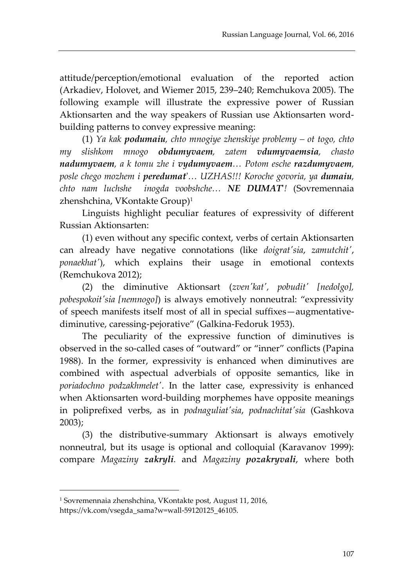attitude/perception/emotional evaluation of the reported action (Arkadiev, Holovet, and Wiemer 2015, 239–240; Remchukova 2005). The following example will illustrate the expressive power of Russian Aktionsarten and the way speakers of Russian use Aktionsarten wordbuilding patterns to convey expressive meaning:

(1) *Ya kak podumaiu, chto mnogiye zhenskiye problemy – ot togo, chto my slishkom mnogo obdumyvaem, zatem vdumyvaemsia, chasto nadumyvaem, a k tomu zhe i vydumyvaem… Potom esche razdumyvaem, posle chego mozhem i peredumat*'*… UZHAS!!! Koroche govoria, ya dumaiu, chto nam luchshe inogda voobshche… NE DUMAT***'***!* (Sovremennaia zhenshchina, VKontakte Group)<sup>1</sup>

Linguists highlight peculiar features of expressivity of different Russian Aktionsarten:

(1) even without any specific context, verbs of certain Aktionsarten can already have negative connotations (like *doigrat'sia*, *zamutchit'*, *ponaekhat'*), which explains their usage in emotional contexts (Remchukova 2012);

(2) the diminutive Aktionsart (*zven'kat', pobudit' [nedolgo], pobespokoit'sia [nemnogo]*) is always emotively nonneutral: "expressivity of speech manifests itself most of all in special suffixes—augmentativediminutive, caressing-pejorative" (Galkina-Fedoruk 1953).

The peculiarity of the expressive function of diminutives is observed in the so-called cases of "outward" or "inner" conflicts (Papina 1988). In the former, expressivity is enhanced when diminutives are combined with aspectual adverbials of opposite semantics, like in *poriadochno podzakhmelet'*. In the latter case, expressivity is enhanced when Aktionsarten word-building morphemes have opposite meanings in poliprefixed verbs, as in *podnaguliat'sia*, *podnachitat'sia* (Gashkova 2003);

(3) the distributive-summary Aktionsart is always emotively nonneutral, but its usage is optional and colloquial (Karavanov 1999): compare *Magaziny zakryli.* and *Magaziny pozakryvali*, where both

<sup>1</sup> Sovremennaia zhenshchina, VKontakte post, August 11, 2016,

https://vk.com/vsegda\_sama?w=wall-59120125\_46105.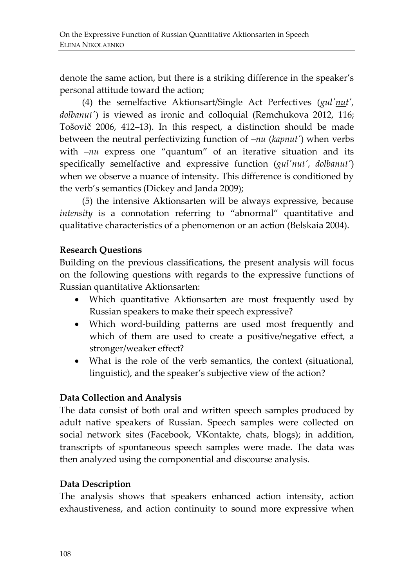denote the same action, but there is a striking difference in the speaker's personal attitude toward the action;

(4) the semelfactive Aktionsart/Single Act Perfectives (*gul'nut', dolbanut'*) is viewed as ironic and colloquial (Remchukova 2012, 116; Tošovič 2006, 412–13). In this respect, a distinction should be made between the neutral perfectivizing function of *–nu* (*kapnut'*) when verbs with *–nu* express one "quantum" of an iterative situation and its specifically semelfactive and expressive function (*gul'nut', dolbanut'*) when we observe a nuance of intensity. This difference is conditioned by the verb's semantics (Dickey and Janda 2009);

(5) the intensive Aktionsarten will be always expressive, because *intensity* is a connotation referring to "abnormal" quantitative and qualitative characteristics of a phenomenon or an action (Belskaia 2004).

# **Research Questions**

Building on the previous classifications, the present analysis will focus on the following questions with regards to the expressive functions of Russian quantitative Aktionsarten:

- Which quantitative Aktionsarten are most frequently used by Russian speakers to make their speech expressive?
- Which word-building patterns are used most frequently and which of them are used to create a positive/negative effect, a stronger/weaker effect?
- What is the role of the verb semantics, the context (situational, linguistic), and the speaker's subjective view of the action?

### **Data Collection and Analysis**

The data consist of both oral and written speech samples produced by adult native speakers of Russian. Speech samples were collected on social network sites (Facebook, VKontakte, chats, blogs); in addition, transcripts of spontaneous speech samples were made. The data was then analyzed using the componential and discourse analysis.

# **Data Description**

The analysis shows that speakers enhanced action intensity, action exhaustiveness, and action continuity to sound more expressive when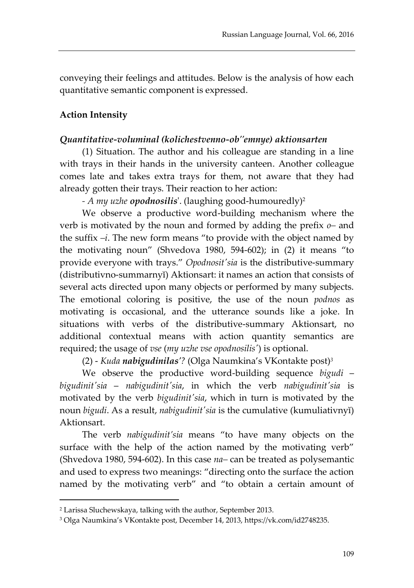conveying their feelings and attitudes. Below is the analysis of how each quantitative semantic component is expressed.

### **Action Intensity**

#### *Quantitative-voluminal (kolichestvenno-ob''emnye) aktionsarten*

(1) Situation. The author and his colleague are standing in a line with trays in their hands in the university canteen. Another colleague comes late and takes extra trays for them, not aware that they had already gotten their trays. Their reaction to her action:

*- A my uzhe opodnosilis*'. (laughing good-humouredly)<sup>2</sup>

We observe a productive word-building mechanism where the verb is motivated by the noun and formed by adding the prefix *o–* and the suffix *–i*. The new form means "to provide with the object named by the motivating noun" (Shvedova 1980, 594-602); in (2) it means "to provide everyone with trays." *Opodnosit'sia* is the distributive-summary (distributivno-summarnyĭ) Aktionsart: it names an action that consists of several acts directed upon many objects or performed by many subjects. The emotional coloring is positive, the use of the noun *podnos* as motivating is occasional, and the utterance sounds like a joke. In situations with verbs of the distributive-summary Aktionsart, no additional contextual means with action quantity semantics are required; the usage of *vse* (*my uzhe vse opodnosilis'*) is optional.

(2) - *Kuda nabigudinilas'?* (Olga Naumkina's VKontakte post)*<sup>3</sup>*

We observe the productive word-building sequence *bigudi* – *bigudinit'sia* – *nabigudinit'sia*, in which the verb *nabigudinit'sia* is motivated by the verb *bigudinit'sia*, which in turn is motivated by the noun *bigudi*. As a result, *nabigudinit'sia* is the cumulative (kumuliativnyĭ) Aktionsart.

The verb *nabigudinit'sia* means "to have many objects on the surface with the help of the action named by the motivating verb" (Shvedova 1980, 594-602). In this case *na–* can be treated as polysemantic and used to express two meanings: "directing onto the surface the action named by the motivating verb" and "to obtain a certain amount of

<sup>2</sup> Larissa Sluchewskaya, talking with the author, September 2013.

<sup>3</sup> Olga Naumkina's VKontakte post, December 14, 2013, https://vk.com/id2748235.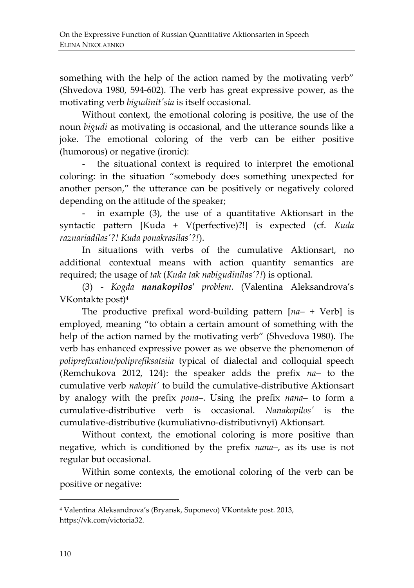something with the help of the action named by the motivating verb" (Shvedova 1980, 594-602). The verb has great expressive power, as the motivating verb *bigudinit'sia* is itself occasional.

Without context, the emotional coloring is positive, the use of the noun *bigudi* as motivating is occasional, and the utterance sounds like a joke. The emotional coloring of the verb can be either positive (humorous) or negative (ironic):

the situational context is required to interpret the emotional coloring: in the situation "somebody does something unexpected for another person," the utterance can be positively or negatively colored depending on the attitude of the speaker;

- in example (3), the use of a quantitative Aktionsart in the syntactic pattern [Kuda + V(perfective)?!] is expected (cf. *Kuda raznariadilas'?! Kuda ponakrasilas'?!*).

In situations with verbs of the cumulative Aktionsart, no additional contextual means with action quantity semantics are required; the usage of *tak* (*Kuda tak nabigudinilas'?!*) is optional.

(3) *- Kogda nanakopilos***'** *problem.* (Valentina Aleksandrova's VKontakte post)<sup>4</sup>

The productive prefixal word-building pattern [*na–* + Verb] is employed, meaning "to obtain a certain amount of something with the help of the action named by the motivating verb" (Shvedova 1980). The verb has enhanced expressive power as we observe the phenomenon of *poliprefixation*/*poliprefiksatsiia* typical of dialectal and colloquial speech (Remchukova 2012, 124): the speaker adds the prefix *na–* to the cumulative verb *nakopit'* to build the cumulative-distributive Aktionsart by analogy with the prefix *pona–*. Using the prefix *nana–* to form a cumulative-distributive verb is occasional. *Nanakopilos'* is the cumulative-distributive (kumuliativno-distributivnyĭ) Aktionsart.

Without context, the emotional coloring is more positive than negative, which is conditioned by the prefix *nana–*, as its use is not regular but occasional.

Within some contexts, the emotional coloring of the verb can be positive or negative:

<sup>4</sup> Valentina Aleksandrova's (Bryansk, Suponevo) VKontakte post. 2013, https://vk.com/victoria32.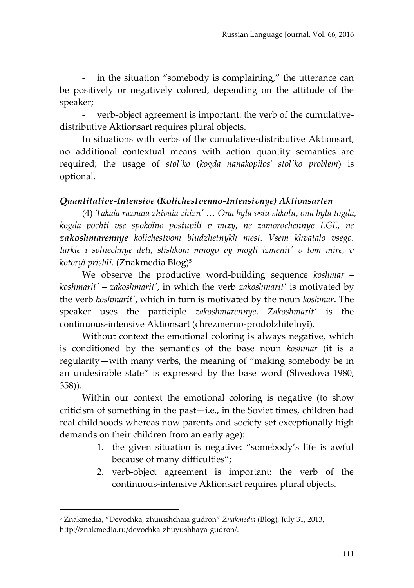in the situation "somebody is complaining," the utterance can be positively or negatively colored, depending on the attitude of the speaker;

- verb-object agreement is important: the verb of the cumulativedistributive Aktionsart requires plural objects.

In situations with verbs of the cumulative-distributive Aktionsart, no additional contextual means with action quantity semantics are required; the usage of *stol'ko* (*kogda nanakopilos*' *stol'ko problem*) is optional.

#### *Quantitative-Intensive (Kolichestvenno-Intensivnye) Aktionsarten*

(4) *Takaia raznaia zhivaia zhizn' … Ona byla vsiu shkolu, ona byla togda, kogda pochti vse spokoĭno postupili v vuzy, ne zamorochennye EGE, ne zakoshmarennye kolichestvom biudzhetnykh mest. Vsem khvatalo vsego. Iarkie i solnechnye deti, slishkom mnogo vy mogli izmenit' v tom mire, v kotoryĭ prishli.* (Znakmedia Blog)<sup>5</sup>

We observe the productive word-building sequence *koshmar* – *koshmarit'* – *zakoshmarit'*, in which the verb *zakoshmarit'* is motivated by the verb *koshmarit'*, which in turn is motivated by the noun *koshmar*. The speaker uses the participle *zakoshmarennye*. *Zakoshmarit'* is the continuous-intensive Aktionsart (chrezmerno-prodolzhitelnyĭ).

Without context the emotional coloring is always negative, which is conditioned by the semantics of the base noun *koshmar* (it is a regularity—with many verbs, the meaning of "making somebody be in an undesirable state" is expressed by the base word (Shvedova 1980, 358)).

Within our context the emotional coloring is negative (to show criticism of something in the past—i.e., in the Soviet times, children had real childhoods whereas now parents and society set exceptionally high demands on their children from an early age):

- 1. the given situation is negative: "somebody's life is awful because of many difficulties";
- 2. verb-object agreement is important: the verb of the continuous-intensive Aktionsart requires plural objects.

<sup>5</sup> Znakmedia, "Devochka, zhuiushchaia gudron" *Znakmedia* (Blog), July 31, 2013, http://znakmedia.ru/devochka-zhuyushhaya-gudron/.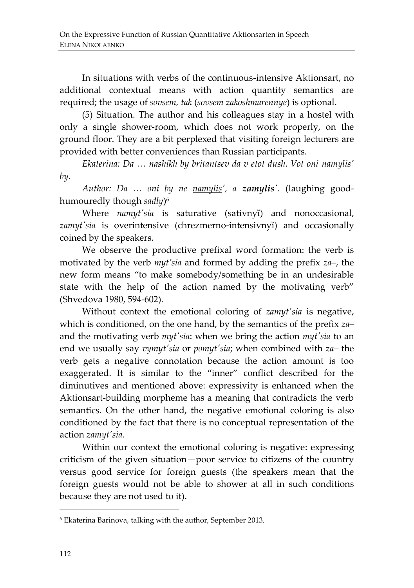In situations with verbs of the continuous-intensive Aktionsart, no additional contextual means with action quantity semantics are required; the usage of *sovsem, tak* (*sovsem zakoshmarennye*) is optional.

(5) Situation. The author and his colleagues stay in a hostel with only a single shower-room, which does not work properly, on the ground floor. They are a bit perplexed that visiting foreign lecturers are provided with better conveniences than Russian participants.

*Ekaterina: Da ... nashikh by britantsev da v etot dush. Vot oni <i>namylis' by.*

*Author: Da … oni by ne namylis', a zamylis'.* (laughing goodhumouredly though *sadly*) 6

Where *namyt'sia* is saturative (sativnyĭ) and nonoccasional, *zamyt'sia* is overintensive (chrezmerno-intensivnyĭ) and occasionally coined by the speakers.

We observe the productive prefixal word formation: the verb is motivated by the verb *myt'sia* and formed by adding the prefix *za–*, the new form means "to make somebody/something be in an undesirable state with the help of the action named by the motivating verb" (Shvedova 1980, 594-602).

Without context the emotional coloring of *zamyt'sia* is negative, which is conditioned, on the one hand, by the semantics of the prefix *za–* and the motivating verb *myt'sia*: when we bring the action *myt'sia* to an end we usually say *vymyt'sia* or *pomyt'sia*; when combined with *za–* the verb gets a negative connotation because the action amount is too exaggerated. It is similar to the "inner" conflict described for the diminutives and mentioned above: expressivity is enhanced when the Aktionsart-building morpheme has a meaning that contradicts the verb semantics. On the other hand, the negative emotional coloring is also conditioned by the fact that there is no conceptual representation of the action *zamyt'sia*.

Within our context the emotional coloring is negative: expressing criticism of the given situation—poor service to citizens of the country versus good service for foreign guests (the speakers mean that the foreign guests would not be able to shower at all in such conditions because they are not used to it).

<sup>6</sup> Ekaterina Barinova, talking with the author, September 2013.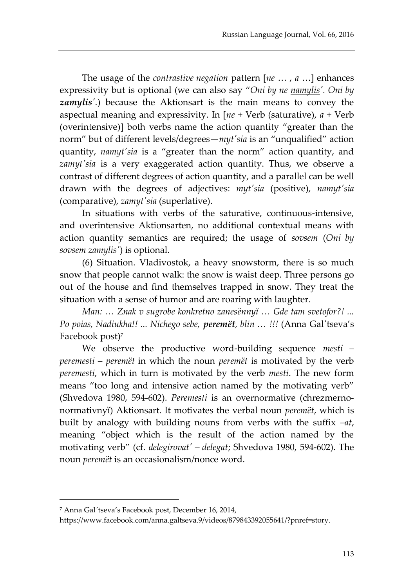The usage of the *contrastive negation* pattern [*ne* … , *a* …] enhances expressivity but is optional (we can also say "*Oni by ne namylis'. Oni by zamylis'.*) because the Aktionsart is the main means to convey the aspectual meaning and expressivity. In [*ne* + Verb (saturative), *a* + Verb (overintensive)] both verbs name the action quantity "greater than the norm" but of different levels/degrees—*myt'sia* is an "unqualified" action quantity, *namyt'sia* is a "greater than the norm" action quantity, and zamyt'sia is a very exaggerated action quantity. Thus, we observe a contrast of different degrees of action quantity, and a parallel can be well drawn with the degrees of adjectives: *myt'sia* (positive), *namyt'sia* (comparative), *zamyt'sia* (superlative).

In situations with verbs of the saturative, continuous-intensive, and overintensive Aktionsarten, no additional contextual means with action quantity semantics are required; the usage of *sovsem* (*Oni by sovsem zamylis'*) is optional.

(6) Situation. Vladivostok, a heavy snowstorm, there is so much snow that people cannot walk: the snow is waist deep. Three persons go out of the house and find themselves trapped in snow. They treat the situation with a sense of humor and are roaring with laughter.

*Man: … Znak v sugrobe konkretno zanesёnnyĭ … Gde tam svetofor?! ... Po poias, Nadiukha!! ... Nichego sebe, peremёt, blin … !!!* (Anna Gal*'*tseva's Facebook post)*<sup>7</sup>*

We observe the productive word-building sequence *mesti* – *peremesti* – *peremёt* in which the noun *peremёt* is motivated by the verb *peremesti*, which in turn is motivated by the verb *mesti*. The new form means "too long and intensive action named by the motivating verb" (Shvedova 1980, 594-602). *Peremesti* is an overnormative (chrezmernonormativnyĭ) Aktionsart. It motivates the verbal noun *peremёt*, which is built by analogy with building nouns from verbs with the suffix *–at*, meaning "object which is the result of the action named by the motivating verb" (cf. *delegirovat' – delegat*; Shvedova 1980, 594-602). The noun *peremёt* is an occasionalism/nonce word.

<sup>7</sup> Anna Gal*'*tseva's Facebook post, December 16, 2014,

https://www.facebook.com/anna.galtseva.9/videos/879843392055641/?pnref=story.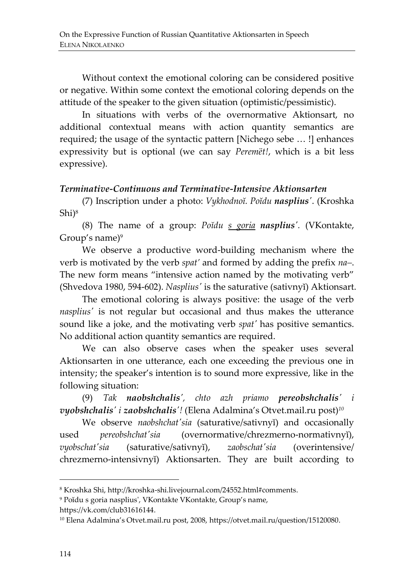Without context the emotional coloring can be considered positive or negative. Within some context the emotional coloring depends on the attitude of the speaker to the given situation (optimistic/pessimistic).

In situations with verbs of the overnormative Aktionsart, no additional contextual means with action quantity semantics are required; the usage of the syntactic pattern [Nichego sebe … !] enhances expressivity but is optional (we can say *Peremёt!*, which is a bit less expressive).

#### *Terminative-Continuous and Terminative-Intensive Aktionsarten*

(7) Inscription under a photo: *Vykhodnoĭ. Poĭdu nasplius'*. (Kroshka Shi)<sup>8</sup>

(8) The name of a group: *Poĭdu s goria nasplius'.* (VKontakte, Group's name)<sup>9</sup>

We observe a productive word-building mechanism where the verb is motivated by the verb *spat'* and formed by adding the prefix *na–*. The new form means "intensive action named by the motivating verb" (Shvedova 1980, 594-602). *Nasplius'* is the saturative (sativnyĭ) Aktionsart.

The emotional coloring is always positive: the usage of the verb *nasplius'* is not regular but occasional and thus makes the utterance sound like a joke, and the motivating verb *spat'* has positive semantics. No additional action quantity semantics are required.

We can also observe cases when the speaker uses several Aktionsarten in one utterance, each one exceeding the previous one in intensity; the speaker's intention is to sound more expressive, like in the following situation:

(9) *Tak naobshchalis', chto azh priamo pereobshchalis' i vyobshchalis' i zaobshchalis'!* (Elena Adalmina's Otvet.mail.ru post)*<sup>10</sup>*

We observe *naobshchat'sia* (saturative/sativnyĭ) and occasionally used *pereobshchat'sia* (overnormative/chrezmerno-normativnyĭ), *vyobschat'sia* (saturative/sativnyĭ), *zaobschat'sia* (overintensive/ chrezmerno-intensivnyĭ) Aktionsarten. They are built according to

<sup>8</sup> Kroshka Shi, http://kroshka-shi.livejournal.com/24552.html#comments.

<sup>9</sup> Poĭdu s goria nasplius', VKontakte VKontakte, Group's name,

[https://vk.com/club31616144.](https://vk.com/club31616144)

<sup>10</sup> Elena Adalmina's Otvet.mail.ru post, 2008, [https://otvet.mail.ru/question/15120080.](https://otvet.mail.ru/question/15120080)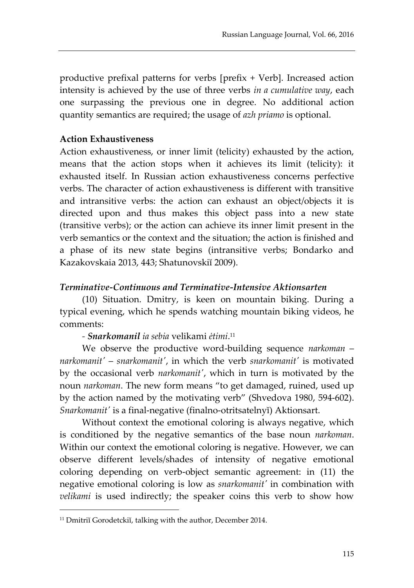productive prefixal patterns for verbs [prefix + Verb]. Increased action intensity is achieved by the use of three verbs *in a cumulative way*, each one surpassing the previous one in degree. No additional action quantity semantics are required; the usage of *azh priamo* is optional.

#### **Action Exhaustiveness**

Action exhaustiveness, or inner limit (telicity) exhausted by the action, means that the action stops when it achieves its limit (telicity): it exhausted itself. In Russian action exhaustiveness concerns perfective verbs. The character of action exhaustiveness is different with transitive and intransitive verbs: the action can exhaust an object/objects it is directed upon and thus makes this object pass into a new state (transitive verbs); or the action can achieve its inner limit present in the verb semantics or the context and the situation; the action is finished and a phase of its new state begins (intransitive verbs; Bondarko and Kazakovskaia 2013, 443; Shatunovskiĭ 2009).

#### *Terminative-Continuous and Terminative-Intensive Aktionsarten*

(10) Situation. Dmitry, is keen on mountain biking. During a typical evening, which he spends watching mountain biking videos, he comments:

### *- Snarkomanil ia sebia* velikami *ėtimi*. 11

We observe the productive word-building sequence *narkoman* – *narkomanit'* – *snarkomanit'*, in which the verb *snarkomanit'* is motivated by the occasional verb *narkomanit'*, which in turn is motivated by the noun *narkoman*. The new form means "to get damaged, ruined, used up by the action named by the motivating verb" (Shvedova 1980, 594-602). *Snarkomanit'* is a final-negative (finalno-otritsatelnyĭ) Aktionsart.

Without context the emotional coloring is always negative, which is conditioned by the negative semantics of the base noun *narkoman*. Within our context the emotional coloring is negative. However, we can observe different levels/shades of intensity of negative emotional coloring depending on verb-object semantic agreement: in (11) the negative emotional coloring is low as *snarkomanit'* in combination with *velikami* is used indirectly; the speaker coins this verb to show how

<sup>&</sup>lt;sup>11</sup> Dmitriĭ Gorodetckiĭ, talking with the author, December 2014.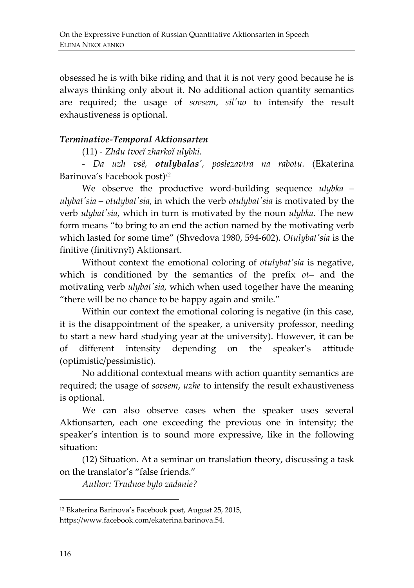obsessed he is with bike riding and that it is not very good because he is always thinking only about it. No additional action quantity semantics are required; the usage of *sovsem*, *sil'no* to intensify the result exhaustiveness is optional.

#### *Terminative-Temporal Aktionsarten*

(11) *- Zhdu tvoeĭ zharkoĭ ulybki.*

*- Da uzh vsё, otulybalas', poslezavtra na rabotu.* (Ekaterina Barinova's Facebook post)*<sup>12</sup>*

We observe the productive word-building sequence *ulybka* – *ulybat'sia* – *otulybat'sia*, in which the verb *otulybat'sia* is motivated by the verb *ulybat'sia*, which in turn is motivated by the noun *ulybka*. The new form means "to bring to an end the action named by the motivating verb which lasted for some time" (Shvedova 1980, 594-602). *Otulybat'sia* is the finitive (finitivnyĭ) Aktionsart.

Without context the emotional coloring of *otulybat'sia* is negative, which is conditioned by the semantics of the prefix *ot–* and the motivating verb *ulybat'sia*, which when used together have the meaning "there will be no chance to be happy again and smile."

Within our context the emotional coloring is negative (in this case, it is the disappointment of the speaker, a university professor, needing to start a new hard studying year at the university). However, it can be of different intensity depending on the speaker's attitude (optimistic/pessimistic).

No additional contextual means with action quantity semantics are required; the usage of *sovsem*, *uzhe* to intensify the result exhaustiveness is optional.

We can also observe cases when the speaker uses several Aktionsarten, each one exceeding the previous one in intensity; the speaker's intention is to sound more expressive, like in the following situation:

(12) Situation. At a seminar on translation theory, discussing a task on the translator's "false friends."

*Author: Trudnoe bylo zadanie?*

<sup>12</sup> Ekaterina Barinova's Facebook post, August 25, 2015,

[https://www.facebook.com/ekaterina.barinova.54.](https://www.facebook.com/ekaterina.barinova.54)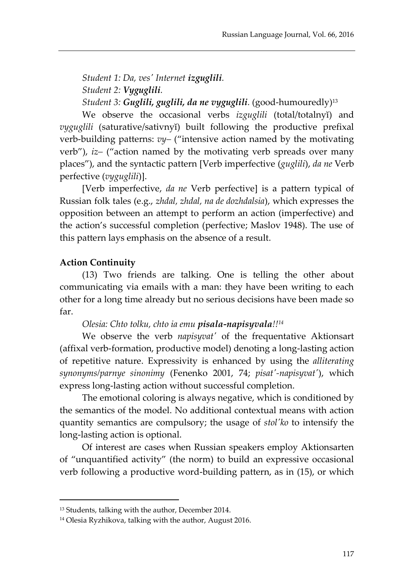*Student 1: Da, ves' Internet izguglili. Student 2: Vyguglili. Student 3: Guglili, guglili, da ne vyguglili.* (good-humouredly)<sup>13</sup>

We observe the occasional verbs *izguglili* (total/totalnyĭ) and *vyguglili* (saturative/sativnyĭ) built following the productive prefixal verb-building patterns: *vy–* ("intensive action named by the motivating verb"), *iz–* ("action named by the motivating verb spreads over many places"), and the syntactic pattern [Verb imperfective (*guglili*), *da ne* Verb perfective (*vyguglili*)].

[Verb imperfective, *da ne* Verb perfective] is a pattern typical of Russian folk tales (e.g., *zhdal, zhdal, na de dozhdalsia*), which expresses the opposition between an attempt to perform an action (imperfective) and the action's successful completion (perfective; Maslov 1948). The use of this pattern lays emphasis on the absence of a result.

# **Action Continuity**

 $\overline{a}$ 

(13) Two friends are talking. One is telling the other about communicating via emails with a man: they have been writing to each other for a long time already but no serious decisions have been made so far.

*Olesia: Chto tolku, chto ia emu pisala-napisyvala!!<sup>14</sup>*

We observe the verb *napisyvat'* of the frequentative Aktionsart (affixal verb-formation, productive model) denoting a long-lasting action of repetitive nature. Expressivity is enhanced by using the *alliterating synonyms/parnye sinonimy* (Fenenko 2001, 74; *pisat'-napisyvat'*), which express long-lasting action without successful completion.

The emotional coloring is always negative, which is conditioned by the semantics of the model. No additional contextual means with action quantity semantics are compulsory; the usage of *stol'ko* to intensify the long-lasting action is optional.

Of interest are cases when Russian speakers employ Aktionsarten of "unquantified activity" (the norm) to build an expressive occasional verb following a productive word-building pattern, as in (15), or which

<sup>&</sup>lt;sup>13</sup> Students, talking with the author, December 2014.

<sup>14</sup> Olesia Ryzhikova, talking with the author, August 2016.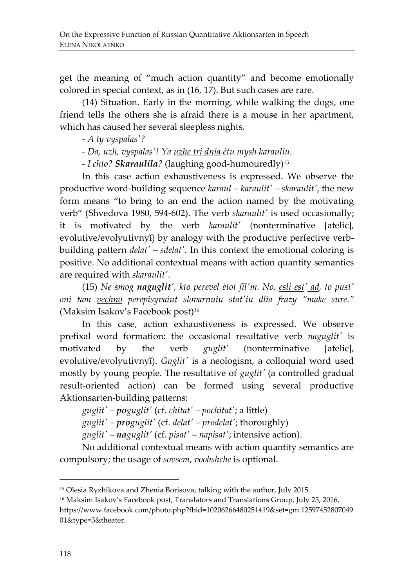get the meaning of "much action quantity" and become emotionally colored in special context, as in (16, 17). But such cases are rare.

(14) Situation. Early in the morning, while walking the dogs, one friend tells the others she is afraid there is a mouse in her apartment, which has caused her several sleepless nights.

*- A ty vyspalas'?*

*- Da, uzh, vyspalas'! Ya uzhe tri dnia ėtu mysh karauliu.*

*- I chto? Skaraulila?* (laughing good-humouredly)<sup>15</sup>

In this case action exhaustiveness is expressed. We observe the productive word-building sequence *karaul – karaulit' – skaraulit'*, the new form means "to bring to an end the action named by the motivating verb" (Shvedova 1980, 594-602). The verb *skaraulit'* is used occasionally; it is motivated by the verb *karaulit'* (nonterminative [atelic], evolutive/evolyutivnyĭ) by analogy with the productive perfective verbbuilding pattern *delat' – sdelat'*. In this context the emotional coloring is positive. No additional contextual means with action quantity semantics are required with *skaraulit'*.

(15) *Ne smog naguglit', kto perevel ėtot fil'm. No, esli est' ad, to pust' oni tam vechno perepisyvaiut slovarnuiu stat'iu dlia frazy "make sure."* (Maksim Isakov's Facebook post)*<sup>16</sup>*

In this case, action exhaustiveness is expressed. We observe prefixal word formation: the occasional resultative verb *naguglit'* is motivated by the verb *guglit'* (nonterminative [atelic], evolutive/evolyutivnyĭ). *Guglit'* is a neologism, a colloquial word used mostly by young people. The resultative of *guglit'* (a controlled gradual result-oriented action) can be formed using several productive Aktionsarten-building patterns:

*guglit' – poguglit'* (cf. *chitat' – pochitat'*; a little) *guglit' – proguglit'* (cf. *delat' – prodelat'*; thoroughly) *guglit' – naguglit'* (cf. *pisat' – napisat'*; intensive action).

No additional contextual means with action quantity semantics are compulsory; the usage of *sovsem*, *voobshche* is optional.

<sup>15</sup> Olesia Ryzhikova and Zhenia Borisova, talking with the author, July 2015.

<sup>&</sup>lt;sup>16</sup> Maksim Isakov's Facebook post, Translators and Translations Group, July 25, 2016, https://www.facebook.com/photo.php?fbid=10206266480251419&set=gm.12597452807049 01&type=3&theater.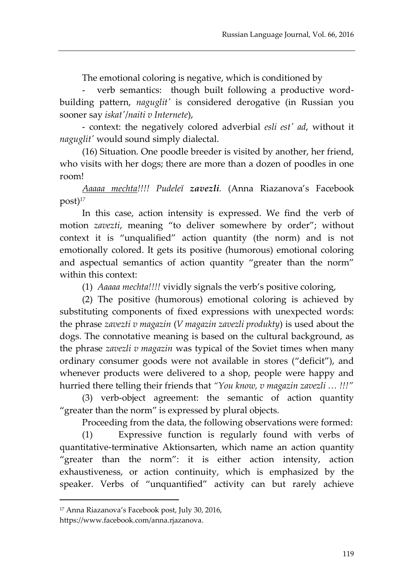The emotional coloring is negative, which is conditioned by

- verb semantics: though built following a productive wordbuilding pattern, *naguglit'* is considered derogative (in Russian you sooner say *iskat'*/*naiti v Internete*),

- context: the negatively colored adverbial *esli est' ad*, without it *naguglit'* would sound simply dialectal.

(16) Situation. One poodle breeder is visited by another, her friend, who visits with her dogs; there are more than a dozen of poodles in one room!

*Aaaaa mechta!!!! Pudeleĭ zavezli.* (Anna Riazanova's Facebook post)*<sup>17</sup>*

In this case, action intensity is expressed. We find the verb of motion *zavezti*, meaning "to deliver somewhere by order"; without context it is "unqualified" action quantity (the norm) and is not emotionally colored. It gets its positive (humorous) emotional coloring and aspectual semantics of action quantity "greater than the norm" within this context:

(1) *Aaaaa mechta!!!!* vividly signals the verb's positive coloring,

(2) The positive (humorous) emotional coloring is achieved by substituting components of fixed expressions with unexpected words: the phrase *zavezti v magazin* (*V magazin zavezli produkty*) is used about the dogs. The connotative meaning is based on the cultural background, as the phrase *zavezli v magazin* was typical of the Soviet times when many ordinary consumer goods were not available in stores ("deficit"), and whenever products were delivered to a shop, people were happy and hurried there telling their friends that *"You know, v magazin zavezli … !!!"*

(3) verb-object agreement: the semantic of action quantity "greater than the norm" is expressed by plural objects.

Proceeding from the data, the following observations were formed:

(1) Expressive function is regularly found with verbs of quantitative-terminative Aktionsarten, which name an action quantity "greater than the norm": it is either action intensity, action exhaustiveness, or action continuity, which is emphasized by the speaker. Verbs of "unquantified" activity can but rarely achieve

<sup>17</sup> Anna Riazanova's Facebook post, July 30, 2016,

[https://www.facebook.com/anna.rjazanova.](https://www.facebook.com/anna.rjazanova)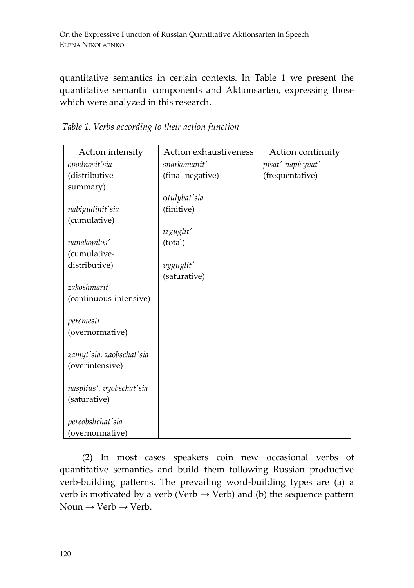quantitative semantics in certain contexts. In Table 1 we present the quantitative semantic components and Aktionsarten, expressing those which were analyzed in this research.

| Action intensity         | Action exhaustiveness | Action continuity |
|--------------------------|-----------------------|-------------------|
| opodnosit'sia            | snarkomanit'          | pisat'-napisyvat' |
| (distributive-           | (final-negative)      | (frequentative)   |
| summary)                 |                       |                   |
|                          | otulybat'sia          |                   |
| nabigudinit'sia          | (finitive)            |                   |
| (cumulative)             |                       |                   |
|                          | izguglit'             |                   |
| nanakopilos'             | (total)               |                   |
| (cumulative-             |                       |                   |
| distributive)            | vyguglit'             |                   |
|                          | (saturative)          |                   |
| zakoshmarit'             |                       |                   |
| (continuous-intensive)   |                       |                   |
|                          |                       |                   |
| peremesti                |                       |                   |
| (overnormative)          |                       |                   |
|                          |                       |                   |
| zamyt'sia, zaobschat'sia |                       |                   |
| (overintensive)          |                       |                   |
|                          |                       |                   |
| nasplius', vyobschat'sia |                       |                   |
| (saturative)             |                       |                   |
|                          |                       |                   |
| pereobshchat'sia         |                       |                   |
| (overnormative)          |                       |                   |

*Table 1. Verbs according to their action function*

(2) In most cases speakers coin new occasional verbs of quantitative semantics and build them following Russian productive verb-building patterns. The prevailing word-building types are (a) a verb is motivated by a verb (Verb  $\rightarrow$  Verb) and (b) the sequence pattern Noun  $\rightarrow$  Verb  $\rightarrow$  Verb.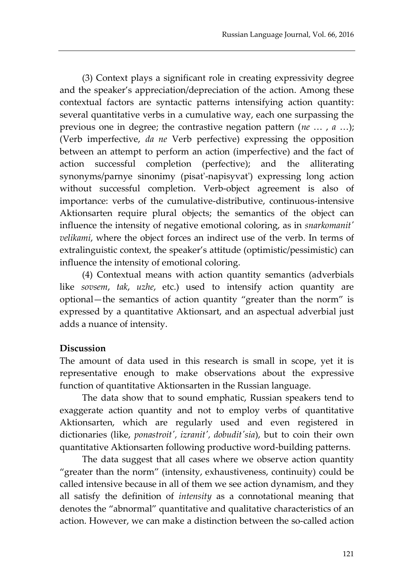(3) Context plays a significant role in creating expressivity degree and the speaker's appreciation/depreciation of the action. Among these contextual factors are syntactic patterns intensifying action quantity: several quantitative verbs in a cumulative way, each one surpassing the previous one in degree; the contrastive negation pattern (*ne* … , *a* …); (Verb imperfective, *da ne* Verb perfective) expressing the opposition between an attempt to perform an action (imperfective) and the fact of action successful completion (perfective); and the alliterating synonyms/parnye sinonimy (pisat'-napisyvat') expressing long action without successful completion. Verb-object agreement is also of importance: verbs of the cumulative-distributive, continuous-intensive Aktionsarten require plural objects; the semantics of the object can influence the intensity of negative emotional coloring, as in *snarkomanit' velikami*, where the object forces an indirect use of the verb. In terms of extralinguistic context, the speaker's attitude (optimistic/pessimistic) can influence the intensity of emotional coloring.

(4) Contextual means with action quantity semantics (adverbials like *sovsem*, *tak*, *uzhe*, etc.) used to intensify action quantity are optional—the semantics of action quantity "greater than the norm" is expressed by a quantitative Aktionsart, and an aspectual adverbial just adds a nuance of intensity.

### **Discussion**

The amount of data used in this research is small in scope, yet it is representative enough to make observations about the expressive function of quantitative Aktionsarten in the Russian language.

The data show that to sound emphatic, Russian speakers tend to exaggerate action quantity and not to employ verbs of quantitative Aktionsarten, which are regularly used and even registered in dictionaries (like, *ponastroit', izranit', dobudit'sia*), but to coin their own quantitative Aktionsarten following productive word-building patterns.

The data suggest that all cases where we observe action quantity "greater than the norm" (intensity, exhaustiveness, continuity) could be called intensive because in all of them we see action dynamism, and they all satisfy the definition of *intensity* as a connotational meaning that denotes the "abnormal" quantitative and qualitative characteristics of an action. However, we can make a distinction between the so-called action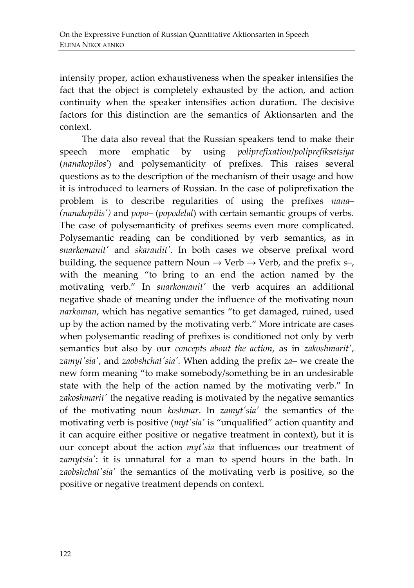intensity proper, action exhaustiveness when the speaker intensifies the fact that the object is completely exhausted by the action, and action continuity when the speaker intensifies action duration. The decisive factors for this distinction are the semantics of Aktionsarten and the context.

The data also reveal that the Russian speakers tend to make their speech more emphatic by using *poliprefixation*/*poliprefiksatsiya* (*nanakopilos*') and polysemanticity of prefixes. This raises several questions as to the description of the mechanism of their usage and how it is introduced to learners of Russian. In the case of poliprefixation the problem is to describe regularities of using the prefixes *nana– (nanakopilis')* and *popo–* (*popodelal*) with certain semantic groups of verbs. The case of polysemanticity of prefixes seems even more complicated. Polysemantic reading can be conditioned by verb semantics, as in *snarkomanit'* and *skaraulit'*. In both cases we observe prefixal word building, the sequence pattern Noun  $\rightarrow$  Verb  $\rightarrow$  Verb, and the prefix *s*-, with the meaning "to bring to an end the action named by the motivating verb." In *snarkomanit'* the verb acquires an additional negative shade of meaning under the influence of the motivating noun *narkoman*, which has negative semantics "to get damaged, ruined, used up by the action named by the motivating verb." More intricate are cases when polysemantic reading of prefixes is conditioned not only by verb semantics but also by our *concepts about the action*, as in *zakoshmarit'*, *zamyt'sia'*, and *zaobshchat'sia'.* When adding the prefix *za–* we create the new form meaning "to make somebody/something be in an undesirable state with the help of the action named by the motivating verb." In zakoshmarit' the negative reading is motivated by the negative semantics of the motivating noun *koshmar*. In *zamyt'sia'* the semantics of the motivating verb is positive (*myt'sia'* is "unqualified" action quantity and it can acquire either positive or negative treatment in context), but it is our concept about the action *myt'sia* that influences our treatment of *zamytsia'*: it is unnatural for a man to spend hours in the bath. In *zaobshchat'sia'* the semantics of the motivating verb is positive, so the positive or negative treatment depends on context.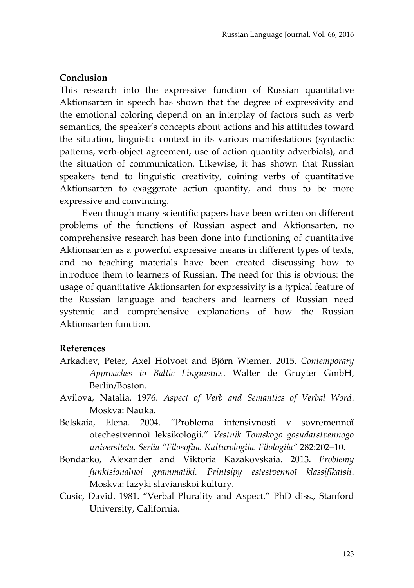#### **Conclusion**

This research into the expressive function of Russian quantitative Aktionsarten in speech has shown that the degree of expressivity and the emotional coloring depend on an interplay of factors such as verb semantics, the speaker's concepts about actions and his attitudes toward the situation, linguistic context in its various manifestations (syntactic patterns, verb-object agreement, use of action quantity adverbials), and the situation of communication. Likewise, it has shown that Russian speakers tend to linguistic creativity, coining verbs of quantitative Aktionsarten to exaggerate action quantity, and thus to be more expressive and convincing.

Even though many scientific papers have been written on different problems of the functions of Russian aspect and Aktionsarten, no comprehensive research has been done into functioning of quantitative Aktionsarten as a powerful expressive means in different types of texts, and no teaching materials have been created discussing how to introduce them to learners of Russian. The need for this is obvious: the usage of quantitative Aktionsarten for expressivity is a typical feature of the Russian language and teachers and learners of Russian need systemic and comprehensive explanations of how the Russian Aktionsarten function.

### **References**

- Arkadiev, Peter, Axel Holvoet and Björn Wiemer. 2015. *Contemporary Approaches to Baltic Linguistics*. Walter de Gruyter GmbH, Berlin/Boston.
- Avilova, Natalia. 1976. *Aspect of Verb and Semantics of Verbal Word*. Moskva: Nauka.
- Belskaia, Elena. 2004. "Problema intensivnosti v sovremennoĭ otechestvennoĭ leksikologii." *Vestnik Tomskogo gosudarstvennogo universiteta. Seriia "Filosofiia. Kulturologiia. Filologiia"* 282:202–10.
- Bondarko, Alexander and Viktoria Kazakovskaia. 2013. *Problemy funktsionalnoi grammatiki. Printsipy estestvennoĭ klassifikatsii*. Moskva: Iazyki slavianskoi kultury.
- Cusic, David. 1981. "Verbal Plurality and Aspect." PhD diss., [Stanford](http://www.doktori.hu/index.php?menuid=190&lang=EN&i_ID=6)  [University,](http://www.doktori.hu/index.php?menuid=190&lang=EN&i_ID=6) California.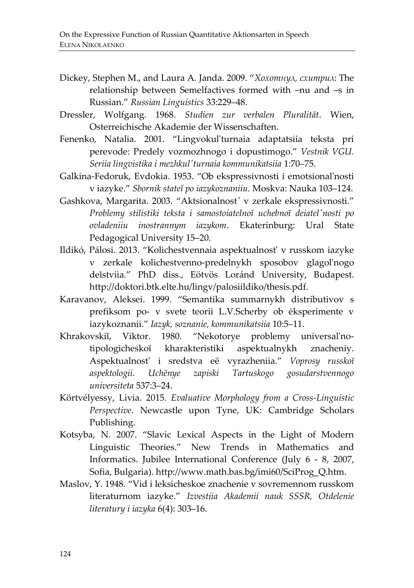- Dickey, Stephen M., and Laura A. Janda. 2009. "*Хохотнул, схитрил*: The relationship between Semelfactives formed with –nu and –s in Russian." *Russian Linguistics* 33:229–48.
- Dressler, Wolfgang. 1968. *Studien zur verbalen Pluralität*. Wien, Osterreichische Akademie der Wissenschaften.
- Fenenko, Natalia. 2001. "Lingvokul'turnaia adaptatsiia teksta pri perevode: Predely vozmozhnogo i dopustimogo." *Vestnik VGU. Seriia lingvistika i mezhkul'turnaia kommunikatsiia* 1:70–75.
- Galkina-Fedoruk, Evdokia. 1953. "Ob ekspressivnosti i emotsional'nosti v iazyke." *Sbornik stateĭ po iazykoznaniiu.* Moskva: Nauka 103–124.
- Gashkova, Margarita. 2003. "Aktsionalnost*'* v zerkale ekspressivnosti." *Problemy stilistiki teksta i samostoiatelnoĭ uchebnoĭ deiatel'nosti po ovladeniiu inostrannym iazykom*. Ekaterinburg: Ural State Pedagogical University 15–20.
- Ildikó, Pálosi. 2013. "Kolichestvennaia aspektualnost' v russkom iazyke v zerkale kolichestvenno-predelnykh sposobov glagol'nogo deĭstviia." PhD diss., [Eötvös Loránd University,](http://www.doktori.hu/index.php?menuid=190&lang=EN&i_ID=6) Budapest. http://doktori.btk.elte.hu/lingv/palosiildiko/thesis.pdf.
- Karavanov, Aleksei. 1999. "Semantika summarnykh distributivov s prefiksom po- v svete teorii L.V.Scherby ob ėksperimente v iazykoznanii." *Iazyk, soznanie, kommunikatsiia* 10:5–11.
- Khrakovskiĭ, Viktor. 1980. "Nekotorye problemy universal'notipologicheskoĭ kharakteristiki aspektualnykh znacheniy. Aspektualnost' i sredstva eё vyrazheniia." *Voprosy russkoĭ aspektologii. Uchёnye zapiski Tartuskogo gosudarstvennogo universiteta* 537:3–24.
- Körtvélyessy, Livia. 2015. *Evaluative Morphology from a Cross-Linguistic Perspective*. Newcastle upon Tyne, UK: Cambridge Scholars Publishing.
- Kotsyba, N. 2007. "Slavic Lexical Aspects in the Light of Modern Linguistic Theories." New Trends in Mathematics and Informatics. Jubilee International Conference (July 6 - 8, 2007, Sofia, Bulgaria). http://www.math.bas.bg/imi60/SciProg\_Q.htm.
- Maslov, Y. 1948. "Vid i leksicheskoe znachenie v sovremennom russkom literaturnom iazyke." *Izvestiia Akademii nauk SSSR, Otdelenie literatury i iazyka* 6(4): 303–16.